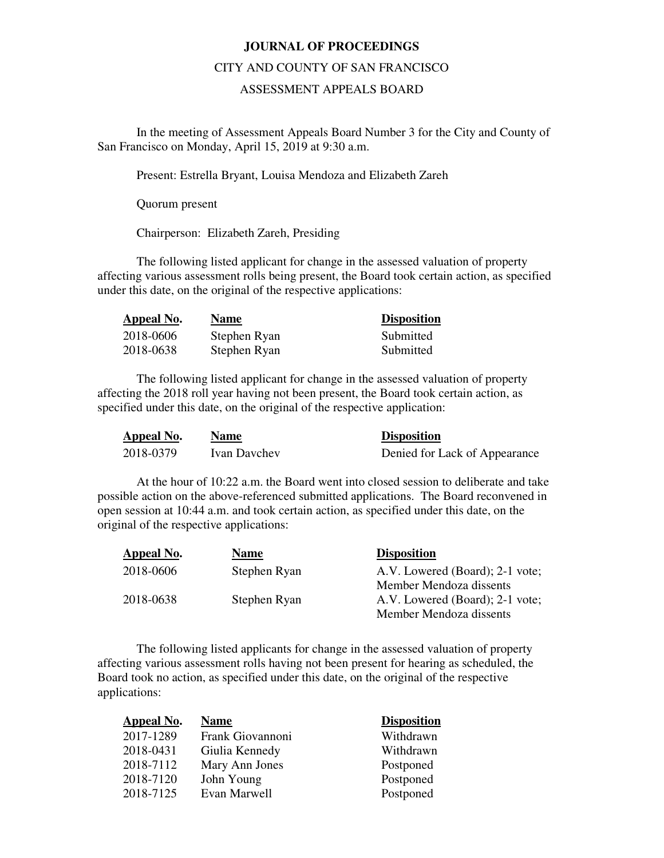## **JOURNAL OF PROCEEDINGS**

## CITY AND COUNTY OF SAN FRANCISCO

## ASSESSMENT APPEALS BOARD

 In the meeting of Assessment Appeals Board Number 3 for the City and County of San Francisco on Monday, April 15, 2019 at 9:30 a.m.

Present: Estrella Bryant, Louisa Mendoza and Elizabeth Zareh

Quorum present

Chairperson: Elizabeth Zareh, Presiding

The following listed applicant for change in the assessed valuation of property affecting various assessment rolls being present, the Board took certain action, as specified under this date, on the original of the respective applications:

| <b>Appeal No.</b> | <b>Name</b>  | <b>Disposition</b> |
|-------------------|--------------|--------------------|
| 2018-0606         | Stephen Ryan | Submitted          |
| 2018-0638         | Stephen Ryan | Submitted          |

The following listed applicant for change in the assessed valuation of property affecting the 2018 roll year having not been present, the Board took certain action, as specified under this date, on the original of the respective application:

| Appeal No. | Name         | <b>Disposition</b>            |
|------------|--------------|-------------------------------|
| 2018-0379  | Ivan Davchev | Denied for Lack of Appearance |

At the hour of 10:22 a.m. the Board went into closed session to deliberate and take possible action on the above-referenced submitted applications. The Board reconvened in open session at 10:44 a.m. and took certain action, as specified under this date, on the original of the respective applications:

| Appeal No. | <b>Name</b>  | <b>Disposition</b>              |
|------------|--------------|---------------------------------|
| 2018-0606  | Stephen Ryan | A.V. Lowered (Board); 2-1 vote; |
|            |              | Member Mendoza dissents         |
| 2018-0638  | Stephen Ryan | A.V. Lowered (Board); 2-1 vote; |
|            |              | Member Mendoza dissents         |

The following listed applicants for change in the assessed valuation of property affecting various assessment rolls having not been present for hearing as scheduled, the Board took no action, as specified under this date, on the original of the respective applications:

> **Disposition** Withdrawn Withdrawn Postponed Postponed Postponed

| Appeal No. | <b>Name</b>      |
|------------|------------------|
| 2017-1289  | Frank Giovannoni |
| 2018-0431  | Giulia Kennedy   |
| 2018-7112  | Mary Ann Jones   |
| 2018-7120  | John Young       |
| 2018-7125  | Evan Marwell     |